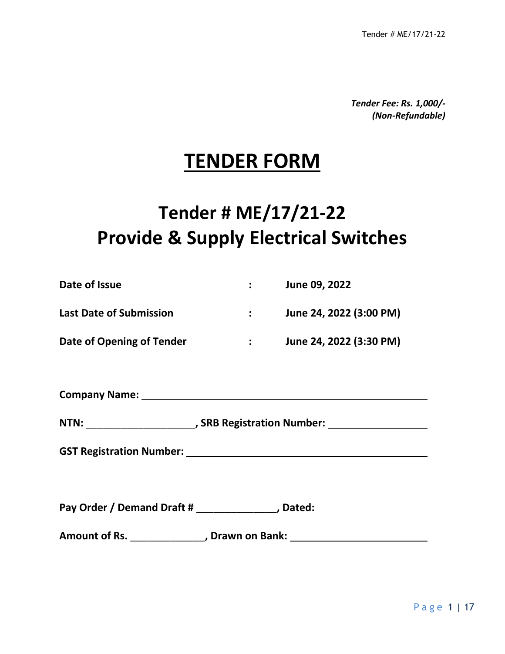*Tender Fee: Rs. 1,000/- (Non-Refundable)*

# **TENDER FORM**

# **Tender # ME/17/21-22 Provide & Supply Electrical Switches**

| Date of Issue | : June 09, 2022                                                                                                |
|---------------|----------------------------------------------------------------------------------------------------------------|
|               | Last Date of Submission <b>Fig. 1. Example 24</b> , 2022 (3:00 PM)                                             |
|               | Date of Opening of Tender <b>Fig. 1:</b> June 24, 2022 (3:30 PM)                                               |
|               |                                                                                                                |
|               |                                                                                                                |
|               |                                                                                                                |
|               | GST Registration Number: Management Control and Control of the Control of the Control of the Control of the Co |
|               |                                                                                                                |
|               | Pay Order / Demand Draft # ________________, Dated: ____________________________                               |
|               | Amount of Rs. _________________, Drawn on Bank: ________________________________                               |
|               |                                                                                                                |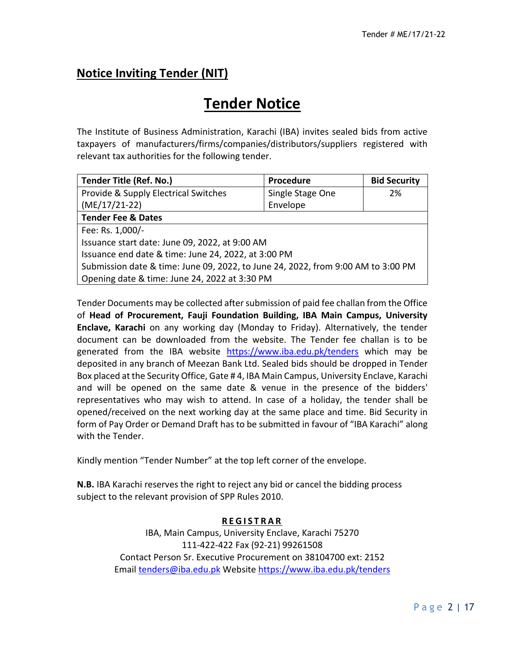# **Notice Inviting Tender (NIT)**

# **Tender Notice**

The Institute of Business Administration, Karachi (IBA) invites sealed bids from active taxpayers of manufacturers/firms/companies/distributors/suppliers registered with relevant tax authorities for the following tender.

| <b>Tender Title (Ref. No.)</b>                                                   | Procedure        | <b>Bid Security</b> |  |  |
|----------------------------------------------------------------------------------|------------------|---------------------|--|--|
| Provide & Supply Electrical Switches                                             | Single Stage One | 2%                  |  |  |
| $(ME/17/21-22)$                                                                  | Envelope         |                     |  |  |
| <b>Tender Fee &amp; Dates</b>                                                    |                  |                     |  |  |
| Fee: Rs. 1,000/-                                                                 |                  |                     |  |  |
| Issuance start date: June 09, 2022, at 9:00 AM                                   |                  |                     |  |  |
| Issuance end date & time: June 24, 2022, at 3:00 PM                              |                  |                     |  |  |
| Submission date & time: June 09, 2022, to June 24, 2022, from 9:00 AM to 3:00 PM |                  |                     |  |  |
| Opening date & time: June 24, 2022 at 3:30 PM                                    |                  |                     |  |  |

Tender Documents may be collected after submission of paid fee challan from the Office of **Head of Procurement, Fauji Foundation Building, IBA Main Campus, University Enclave, Karachi** on any working day (Monday to Friday). Alternatively, the tender document can be downloaded from the website. The Tender fee challan is to be generated from the IBA website <https://www.iba.edu.pk/tenders> which may be deposited in any branch of Meezan Bank Ltd. Sealed bids should be dropped in Tender Box placed at the Security Office, Gate # 4, IBA Main Campus, University Enclave, Karachi and will be opened on the same date & venue in the presence of the bidders' representatives who may wish to attend. In case of a holiday, the tender shall be opened/received on the next working day at the same place and time. Bid Security in form of Pay Order or Demand Draft has to be submitted in favour of "IBA Karachi" along with the Tender.

Kindly mention "Tender Number" at the top left corner of the envelope.

**N.B.** IBA Karachi reserves the right to reject any bid or cancel the bidding process subject to the relevant provision of SPP Rules 2010.

#### **R E G I S T R A R**

IBA, Main Campus, University Enclave, Karachi 75270 111-422-422 Fax (92-21) 99261508 Contact Person Sr. Executive Procurement on 38104700 ext: 2152 Email [tenders@iba.edu.pk](mailto:tenders@iba.edu.pk) Website<https://www.iba.edu.pk/tenders>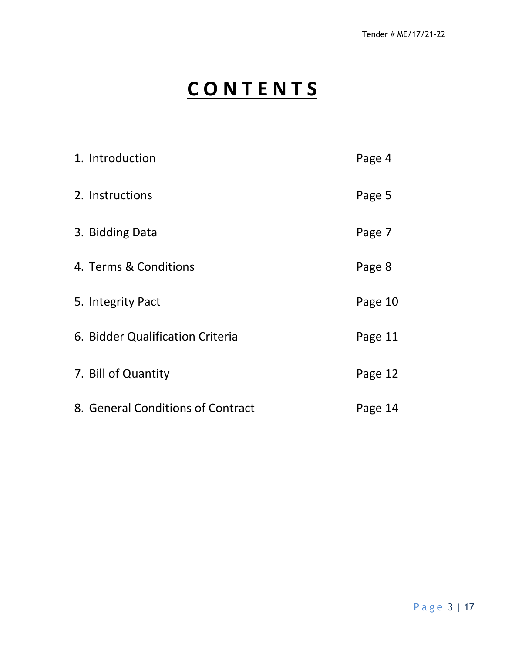# **C O N T E N T S**

| 1. Introduction                   | Page 4  |
|-----------------------------------|---------|
| 2. Instructions                   | Page 5  |
| 3. Bidding Data                   | Page 7  |
| 4. Terms & Conditions             | Page 8  |
| 5. Integrity Pact                 | Page 10 |
| 6. Bidder Qualification Criteria  | Page 11 |
| 7. Bill of Quantity               | Page 12 |
| 8. General Conditions of Contract | Page 14 |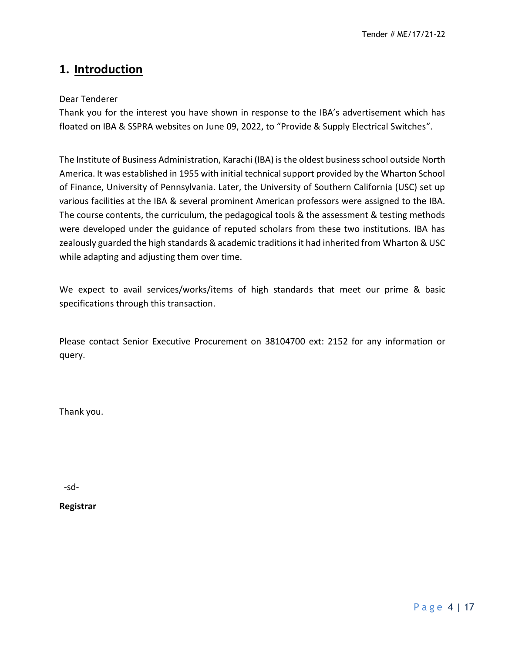# **1. Introduction**

#### Dear Tenderer

Thank you for the interest you have shown in response to the IBA's advertisement which has floated on IBA & SSPRA websites on June 09, 2022, to "Provide & Supply Electrical Switches".

The Institute of Business Administration, Karachi (IBA) is the oldest business school outside North America. It was established in 1955 with initial technical support provided by the Wharton School of Finance, University of Pennsylvania. Later, the University of Southern California (USC) set up various facilities at the IBA & several prominent American professors were assigned to the IBA. The course contents, the curriculum, the pedagogical tools & the assessment & testing methods were developed under the guidance of reputed scholars from these two institutions. IBA has zealously guarded the high standards & academic traditions it had inherited from Wharton & USC while adapting and adjusting them over time.

We expect to avail services/works/items of high standards that meet our prime & basic specifications through this transaction.

Please contact Senior Executive Procurement on 38104700 ext: 2152 for any information or query.

Thank you.

-sd-

**Registrar**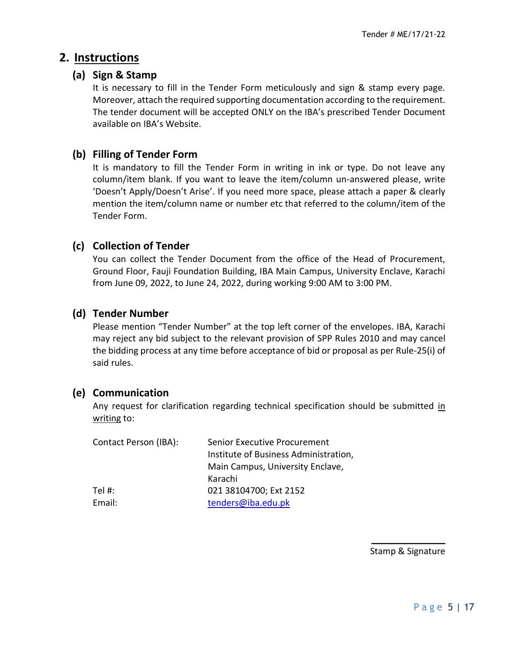## **2. Instructions**

#### **(a) Sign & Stamp**

It is necessary to fill in the Tender Form meticulously and sign & stamp every page. Moreover, attach the required supporting documentation according to the requirement. The tender document will be accepted ONLY on the IBA's prescribed Tender Document available on IBA's Website.

#### **(b) Filling of Tender Form**

It is mandatory to fill the Tender Form in writing in ink or type. Do not leave any column/item blank. If you want to leave the item/column un-answered please, write 'Doesn't Apply/Doesn't Arise'. If you need more space, please attach a paper & clearly mention the item/column name or number etc that referred to the column/item of the Tender Form.

#### **(c) Collection of Tender**

You can collect the Tender Document from the office of the Head of Procurement, Ground Floor, Fauji Foundation Building, IBA Main Campus, University Enclave, Karachi from June 09, 2022, to June 24, 2022, during working 9:00 AM to 3:00 PM.

#### **(d) Tender Number**

Please mention "Tender Number" at the top left corner of the envelopes. IBA, Karachi may reject any bid subject to the relevant provision of SPP Rules 2010 and may cancel the bidding process at any time before acceptance of bid or proposal as per Rule-25(i) of said rules.

#### **(e) Communication**

Any request for clarification regarding technical specification should be submitted in writing to:

| Contact Person (IBA): | Senior Executive Procurement<br>Institute of Business Administration,<br>Main Campus, University Enclave, |
|-----------------------|-----------------------------------------------------------------------------------------------------------|
|                       | Karachi                                                                                                   |
| Tel #:                | 021 38104700; Ext 2152                                                                                    |
| Email:                | tenders@iba.edu.pk                                                                                        |

 $\mathcal{L}_\text{max}$ Stamp & Signature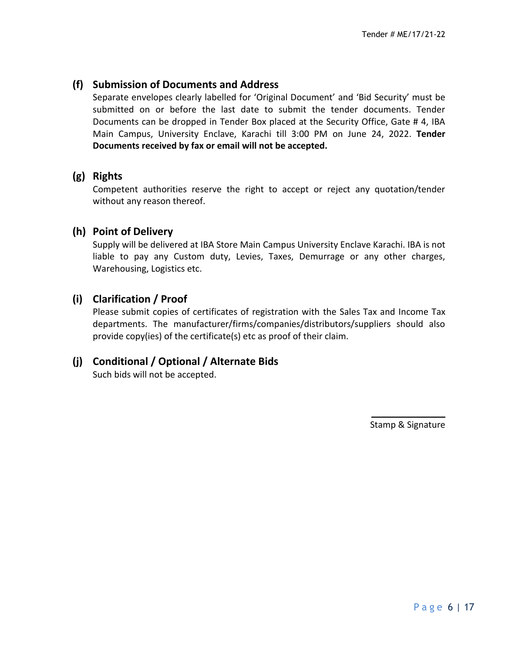### **(f) Submission of Documents and Address**

Separate envelopes clearly labelled for 'Original Document' and 'Bid Security' must be submitted on or before the last date to submit the tender documents. Tender Documents can be dropped in Tender Box placed at the Security Office, Gate # 4, IBA Main Campus, University Enclave, Karachi till 3:00 PM on June 24, 2022. **Tender Documents received by fax or email will not be accepted.**

### **(g) Rights**

Competent authorities reserve the right to accept or reject any quotation/tender without any reason thereof.

### **(h) Point of Delivery**

Supply will be delivered at IBA Store Main Campus University Enclave Karachi. IBA is not liable to pay any Custom duty, Levies, Taxes, Demurrage or any other charges, Warehousing, Logistics etc.

## **(i) Clarification / Proof**

Please submit copies of certificates of registration with the Sales Tax and Income Tax departments. The manufacturer/firms/companies/distributors/suppliers should also provide copy(ies) of the certificate(s) etc as proof of their claim.

## **(j) Conditional / Optional / Alternate Bids**

Such bids will not be accepted.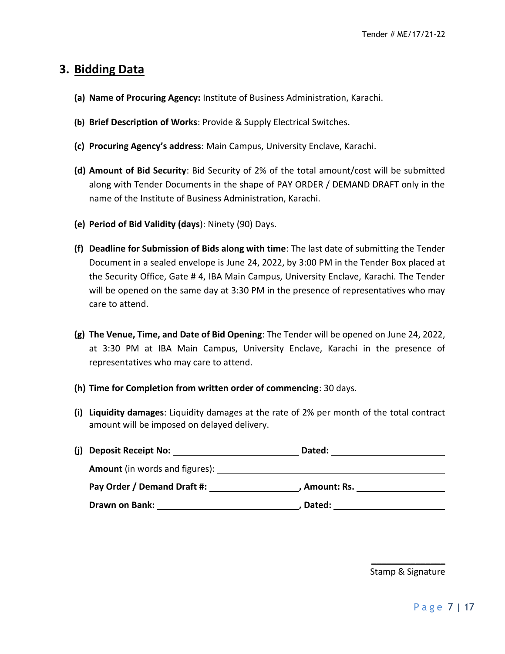# **3. Bidding Data**

- **(a) Name of Procuring Agency:** Institute of Business Administration, Karachi.
- **(b) Brief Description of Works**: Provide & Supply Electrical Switches.
- **(c) Procuring Agency's address**: Main Campus, University Enclave, Karachi.
- **(d) Amount of Bid Security**: Bid Security of 2% of the total amount/cost will be submitted along with Tender Documents in the shape of PAY ORDER / DEMAND DRAFT only in the name of the Institute of Business Administration, Karachi.
- **(e) Period of Bid Validity (days**): Ninety (90) Days.
- **(f) Deadline for Submission of Bids along with time**: The last date of submitting the Tender Document in a sealed envelope is June 24, 2022, by 3:00 PM in the Tender Box placed at the Security Office, Gate # 4, IBA Main Campus, University Enclave, Karachi. The Tender will be opened on the same day at 3:30 PM in the presence of representatives who may care to attend.
- **(g) The Venue, Time, and Date of Bid Opening**: The Tender will be opened on June 24, 2022, at 3:30 PM at IBA Main Campus, University Enclave, Karachi in the presence of representatives who may care to attend.
- **(h) Time for Completion from written order of commencing**: 30 days.
- **(i) Liquidity damages**: Liquidity damages at the rate of 2% per month of the total contract amount will be imposed on delayed delivery.

| (j) Deposit Receipt No:               | Dated:        |  |  |  |
|---------------------------------------|---------------|--|--|--|
| <b>Amount</b> (in words and figures): |               |  |  |  |
| Pay Order / Demand Draft #:           | , Amount: Rs. |  |  |  |
| Drawn on Bank:                        | Dated:        |  |  |  |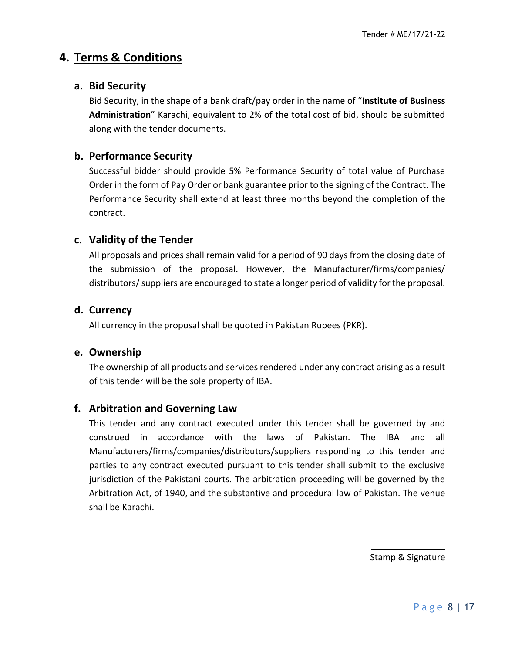# **4. Terms & Conditions**

### **a. Bid Security**

Bid Security, in the shape of a bank draft/pay order in the name of "**Institute of Business Administration**" Karachi, equivalent to 2% of the total cost of bid, should be submitted along with the tender documents.

## **b. Performance Security**

Successful bidder should provide 5% Performance Security of total value of Purchase Order in the form of Pay Order or bank guarantee prior to the signing of the Contract. The Performance Security shall extend at least three months beyond the completion of the contract.

### **c. Validity of the Tender**

All proposals and prices shall remain valid for a period of 90 days from the closing date of the submission of the proposal. However, the Manufacturer/firms/companies/ distributors/suppliers are encouraged to state a longer period of validity for the proposal.

### **d. Currency**

All currency in the proposal shall be quoted in Pakistan Rupees (PKR).

### **e. Ownership**

The ownership of all products and services rendered under any contract arising as a result of this tender will be the sole property of IBA.

### **f. Arbitration and Governing Law**

This tender and any contract executed under this tender shall be governed by and construed in accordance with the laws of Pakistan. The IBA and all Manufacturers/firms/companies/distributors/suppliers responding to this tender and parties to any contract executed pursuant to this tender shall submit to the exclusive jurisdiction of the Pakistani courts. The arbitration proceeding will be governed by the Arbitration Act, of 1940, and the substantive and procedural law of Pakistan. The venue shall be Karachi.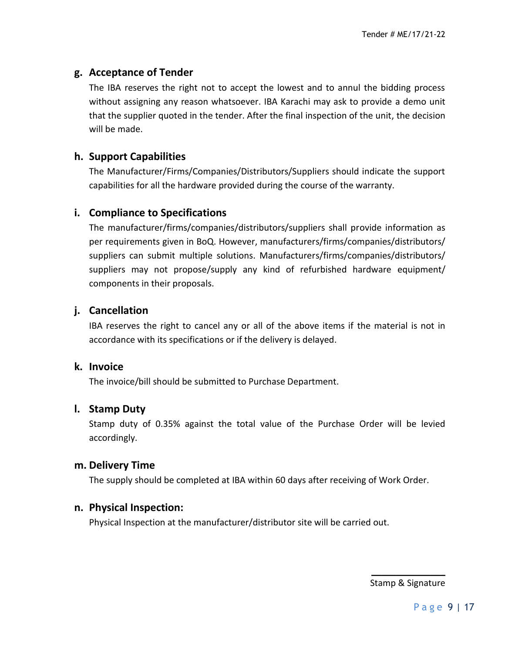## **g. Acceptance of Tender**

The IBA reserves the right not to accept the lowest and to annul the bidding process without assigning any reason whatsoever. IBA Karachi may ask to provide a demo unit that the supplier quoted in the tender. After the final inspection of the unit, the decision will be made.

## **h. Support Capabilities**

The Manufacturer/Firms/Companies/Distributors/Suppliers should indicate the support capabilities for all the hardware provided during the course of the warranty.

### **i. Compliance to Specifications**

The manufacturer/firms/companies/distributors/suppliers shall provide information as per requirements given in BoQ. However, manufacturers/firms/companies/distributors/ suppliers can submit multiple solutions. Manufacturers/firms/companies/distributors/ suppliers may not propose/supply any kind of refurbished hardware equipment/ components in their proposals.

## **j. Cancellation**

IBA reserves the right to cancel any or all of the above items if the material is not in accordance with its specifications or if the delivery is delayed.

### **k. Invoice**

The invoice/bill should be submitted to Purchase Department.

### **l. Stamp Duty**

Stamp duty of 0.35% against the total value of the Purchase Order will be levied accordingly.

#### **m. Delivery Time**

The supply should be completed at IBA within 60 days after receiving of Work Order.

### **n. Physical Inspection:**

Physical Inspection at the manufacturer/distributor site will be carried out.

 $\frac{1}{2}$ Stamp & Signature

Page 9 | 17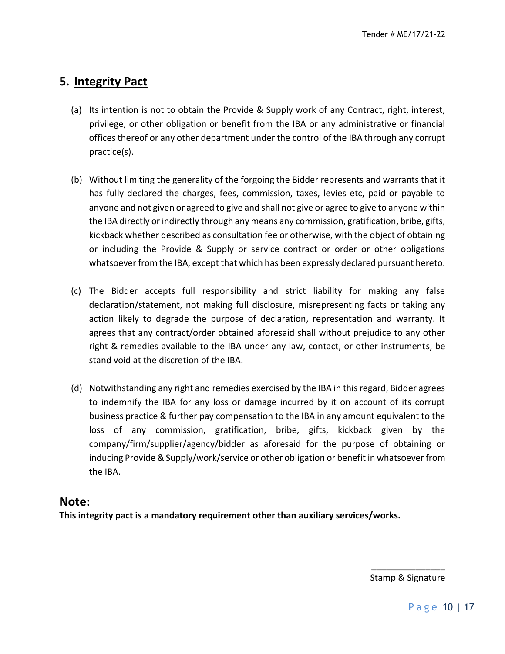# **5. Integrity Pact**

- (a) Its intention is not to obtain the Provide & Supply work of any Contract, right, interest, privilege, or other obligation or benefit from the IBA or any administrative or financial offices thereof or any other department under the control of the IBA through any corrupt practice(s).
- (b) Without limiting the generality of the forgoing the Bidder represents and warrants that it has fully declared the charges, fees, commission, taxes, levies etc, paid or payable to anyone and not given or agreed to give and shall not give or agree to give to anyone within the IBA directly or indirectly through any means any commission, gratification, bribe, gifts, kickback whether described as consultation fee or otherwise, with the object of obtaining or including the Provide & Supply or service contract or order or other obligations whatsoever from the IBA, except that which has been expressly declared pursuant hereto.
- (c) The Bidder accepts full responsibility and strict liability for making any false declaration/statement, not making full disclosure, misrepresenting facts or taking any action likely to degrade the purpose of declaration, representation and warranty. It agrees that any contract/order obtained aforesaid shall without prejudice to any other right & remedies available to the IBA under any law, contact, or other instruments, be stand void at the discretion of the IBA.
- (d) Notwithstanding any right and remedies exercised by the IBA in this regard, Bidder agrees to indemnify the IBA for any loss or damage incurred by it on account of its corrupt business practice & further pay compensation to the IBA in any amount equivalent to the loss of any commission, gratification, bribe, gifts, kickback given by the company/firm/supplier/agency/bidder as aforesaid for the purpose of obtaining or inducing Provide & Supply/work/service or other obligation or benefit in whatsoever from the IBA.

### **Note:**

**This integrity pact is a mandatory requirement other than auxiliary services/works.**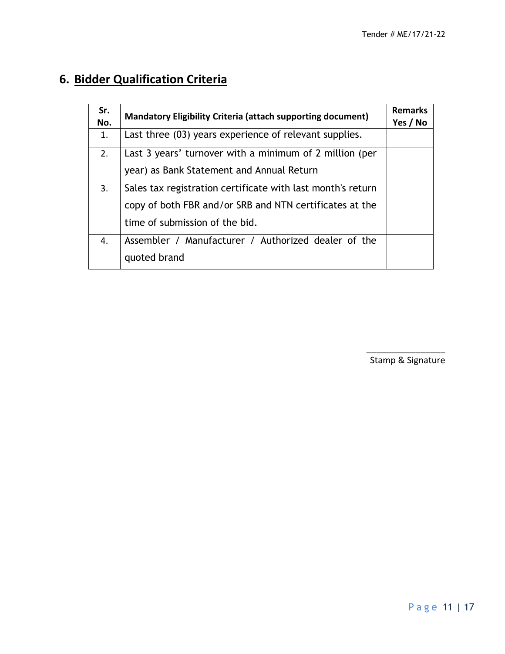# **6. Bidder Qualification Criteria**

| Sr.<br>No. | <b>Mandatory Eligibility Criteria (attach supporting document)</b> | <b>Remarks</b><br>Yes / No |  |
|------------|--------------------------------------------------------------------|----------------------------|--|
| 1.         | Last three (03) years experience of relevant supplies.             |                            |  |
| 2.         | Last 3 years' turnover with a minimum of 2 million (per            |                            |  |
|            | year) as Bank Statement and Annual Return                          |                            |  |
| 3.         | Sales tax registration certificate with last month's return        |                            |  |
|            | copy of both FBR and/or SRB and NTN certificates at the            |                            |  |
|            | time of submission of the bid.                                     |                            |  |
| 4.         | Assembler / Manufacturer / Authorized dealer of the                |                            |  |
|            | quoted brand                                                       |                            |  |

\_\_\_\_\_\_\_\_\_\_\_\_\_\_\_\_ Stamp & Signature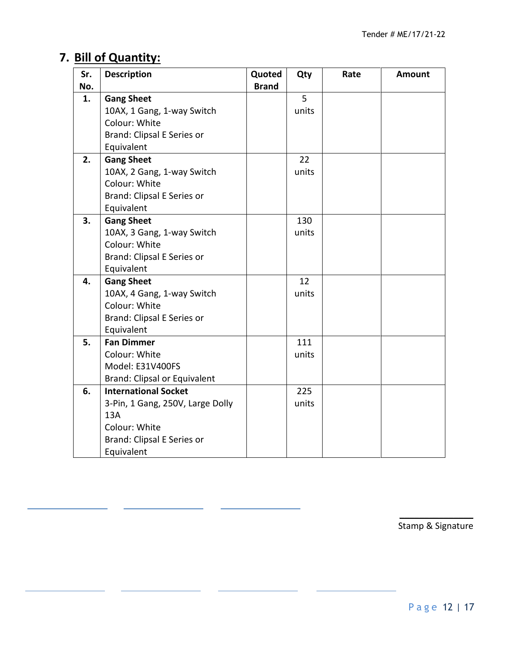# **7. Bill of Quantity:**

| Sr. | <b>Description</b>               | Quoted       | Qty   | Rate | <b>Amount</b> |
|-----|----------------------------------|--------------|-------|------|---------------|
| No. |                                  | <b>Brand</b> |       |      |               |
| 1.  | <b>Gang Sheet</b>                |              | 5     |      |               |
|     | 10AX, 1 Gang, 1-way Switch       |              | units |      |               |
|     | Colour: White                    |              |       |      |               |
|     | Brand: Clipsal E Series or       |              |       |      |               |
|     | Equivalent                       |              |       |      |               |
| 2.  | <b>Gang Sheet</b>                |              | 22    |      |               |
|     | 10AX, 2 Gang, 1-way Switch       |              | units |      |               |
|     | Colour: White                    |              |       |      |               |
|     | Brand: Clipsal E Series or       |              |       |      |               |
|     | Equivalent                       |              |       |      |               |
| 3.  | <b>Gang Sheet</b>                |              | 130   |      |               |
|     | 10AX, 3 Gang, 1-way Switch       |              | units |      |               |
|     | Colour: White                    |              |       |      |               |
|     | Brand: Clipsal E Series or       |              |       |      |               |
|     | Equivalent                       |              |       |      |               |
| 4.  | <b>Gang Sheet</b>                |              | 12    |      |               |
|     | 10AX, 4 Gang, 1-way Switch       |              | units |      |               |
|     | Colour: White                    |              |       |      |               |
|     | Brand: Clipsal E Series or       |              |       |      |               |
|     | Equivalent                       |              |       |      |               |
| 5.  | <b>Fan Dimmer</b>                |              | 111   |      |               |
|     | Colour: White                    |              | units |      |               |
|     | Model: E31V400FS                 |              |       |      |               |
|     | Brand: Clipsal or Equivalent     |              |       |      |               |
| 6.  | <b>International Socket</b>      |              | 225   |      |               |
|     | 3-Pin, 1 Gang, 250V, Large Dolly |              | units |      |               |
|     | 13A                              |              |       |      |               |
|     | Colour: White                    |              |       |      |               |
|     | Brand: Clipsal E Series or       |              |       |      |               |
|     | Equivalent                       |              |       |      |               |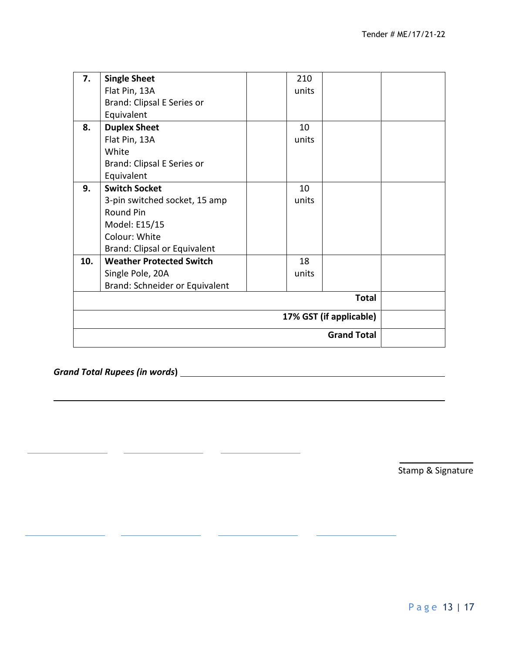| 7.           | <b>Single Sheet</b>             |  | 210   |  |  |
|--------------|---------------------------------|--|-------|--|--|
|              | Flat Pin, 13A                   |  | units |  |  |
|              | Brand: Clipsal E Series or      |  |       |  |  |
|              | Equivalent                      |  |       |  |  |
| 8.           | <b>Duplex Sheet</b>             |  | 10    |  |  |
|              | Flat Pin, 13A                   |  | units |  |  |
|              | White                           |  |       |  |  |
|              | Brand: Clipsal E Series or      |  |       |  |  |
|              | Equivalent                      |  |       |  |  |
| 9.           | <b>Switch Socket</b>            |  | 10    |  |  |
|              | 3-pin switched socket, 15 amp   |  | units |  |  |
|              | Round Pin                       |  |       |  |  |
|              | Model: E15/15                   |  |       |  |  |
|              | Colour: White                   |  |       |  |  |
|              | Brand: Clipsal or Equivalent    |  |       |  |  |
| 10.          | <b>Weather Protected Switch</b> |  | 18    |  |  |
|              | Single Pole, 20A                |  | units |  |  |
|              | Brand: Schneider or Equivalent  |  |       |  |  |
| <b>Total</b> |                                 |  |       |  |  |
|              | 17% GST (if applicable)         |  |       |  |  |
|              | <b>Grand Total</b>              |  |       |  |  |

Í.

*Grand Total Rupees (in words***)**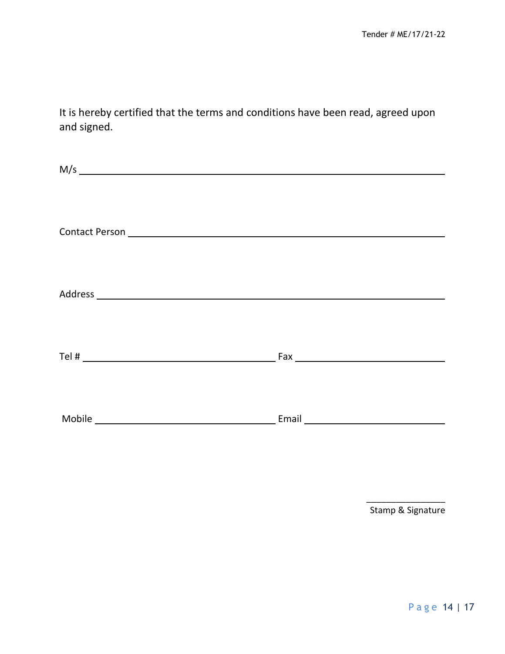It is hereby certified that the terms and conditions have been read, agreed upon and signed.

| M/s |  |
|-----|--|
|     |  |
|     |  |
|     |  |
|     |  |
|     |  |
|     |  |
|     |  |
|     |  |
|     |  |
|     |  |
|     |  |
|     |  |
|     |  |
|     |  |
|     |  |

\_\_\_\_\_\_\_\_\_\_\_\_\_\_\_\_ Stamp & Signature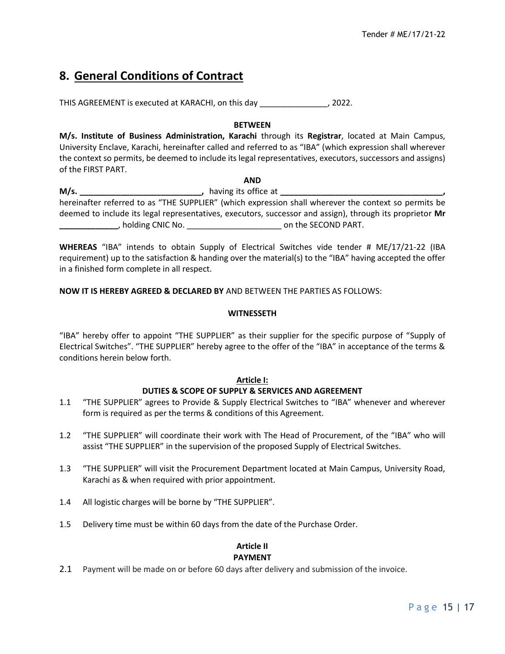# **8. General Conditions of Contract**

THIS AGREEMENT is executed at KARACHI, on this day \_\_\_\_\_\_\_\_\_\_\_\_\_\_\_, 2022.

#### **BETWEEN**

**M/s. Institute of Business Administration, Karachi** through its **Registrar**, located at Main Campus, University Enclave, Karachi, hereinafter called and referred to as "IBA" (which expression shall wherever the context so permits, be deemed to include its legal representatives, executors, successors and assigns) of the FIRST PART.

**AND M/s. \_\_\_\_\_\_\_\_\_\_\_\_\_\_\_\_\_\_\_\_\_\_\_\_\_\_\_,** having its office at **\_\_\_\_\_\_\_\_\_\_\_\_\_\_\_\_\_\_\_\_\_\_\_\_\_\_\_\_\_\_\_\_\_\_\_\_,** hereinafter referred to as "THE SUPPLIER" (which expression shall wherever the context so permits be deemed to include its legal representatives, executors, successor and assign), through its proprietor **Mr \_\_\_\_\_\_\_\_\_\_\_\_\_**, holding CNIC No. \_\_\_\_\_\_\_\_\_\_\_\_\_\_\_\_\_\_\_\_\_ on the SECOND PART.

**WHEREAS** "IBA" intends to obtain Supply of Electrical Switches vide tender # ME/17/21-22 (IBA requirement) up to the satisfaction & handing over the material(s) to the "IBA" having accepted the offer in a finished form complete in all respect.

#### **NOW IT IS HEREBY AGREED & DECLARED BY** AND BETWEEN THE PARTIES AS FOLLOWS:

#### **WITNESSETH**

"IBA" hereby offer to appoint "THE SUPPLIER" as their supplier for the specific purpose of "Supply of Electrical Switches". "THE SUPPLIER" hereby agree to the offer of the "IBA" in acceptance of the terms & conditions herein below forth.

#### **Article I:**

#### **DUTIES & SCOPE OF SUPPLY & SERVICES AND AGREEMENT**

- 1.1 "THE SUPPLIER" agrees to Provide & Supply Electrical Switches to "IBA" whenever and wherever form is required as per the terms & conditions of this Agreement.
- 1.2 "THE SUPPLIER" will coordinate their work with The Head of Procurement, of the "IBA" who will assist "THE SUPPLIER" in the supervision of the proposed Supply of Electrical Switches.
- 1.3 "THE SUPPLIER" will visit the Procurement Department located at Main Campus, University Road, Karachi as & when required with prior appointment.
- 1.4 All logistic charges will be borne by "THE SUPPLIER".
- 1.5 Delivery time must be within 60 days from the date of the Purchase Order.

#### **Article II PAYMENT**

2.1 Payment will be made on or before 60 days after delivery and submission of the invoice.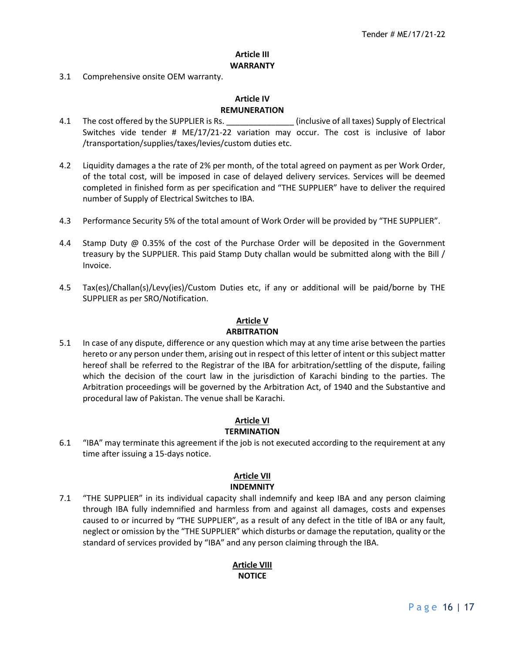#### **Article III WARRANTY**

3.1 Comprehensive onsite OEM warranty.

#### **Article IV REMUNERATION**

- 4.1 The cost offered by the SUPPLIER is Rs.  $\qquad \qquad$  (inclusive of all taxes) Supply of Electrical Switches vide tender # ME/17/21-22 variation may occur. The cost is inclusive of labor /transportation/supplies/taxes/levies/custom duties etc.
- 4.2 Liquidity damages a the rate of 2% per month, of the total agreed on payment as per Work Order, of the total cost, will be imposed in case of delayed delivery services. Services will be deemed completed in finished form as per specification and "THE SUPPLIER" have to deliver the required number of Supply of Electrical Switches to IBA.
- 4.3 Performance Security 5% of the total amount of Work Order will be provided by "THE SUPPLIER".
- 4.4 Stamp Duty @ 0.35% of the cost of the Purchase Order will be deposited in the Government treasury by the SUPPLIER. This paid Stamp Duty challan would be submitted along with the Bill / Invoice.
- 4.5 Tax(es)/Challan(s)/Levy(ies)/Custom Duties etc, if any or additional will be paid/borne by THE SUPPLIER as per SRO/Notification.

#### **Article V**

#### **ARBITRATION**

5.1 In case of any dispute, difference or any question which may at any time arise between the parties hereto or any person under them, arising out in respect of this letter of intent or this subject matter hereof shall be referred to the Registrar of the IBA for arbitration/settling of the dispute, failing which the decision of the court law in the jurisdiction of Karachi binding to the parties. The Arbitration proceedings will be governed by the Arbitration Act, of 1940 and the Substantive and procedural law of Pakistan. The venue shall be Karachi.

#### **Article VI TERMINATION**

6.1 "IBA" may terminate this agreement if the job is not executed according to the requirement at any time after issuing a 15-days notice.

# **Article VII**

**INDEMNITY** 7.1 "THE SUPPLIER" in its individual capacity shall indemnify and keep IBA and any person claiming through IBA fully indemnified and harmless from and against all damages, costs and expenses caused to or incurred by "THE SUPPLIER", as a result of any defect in the title of IBA or any fault, neglect or omission by the "THE SUPPLIER" which disturbs or damage the reputation, quality or the

standard of services provided by "IBA" and any person claiming through the IBA.

#### **Article VIII NOTICE**